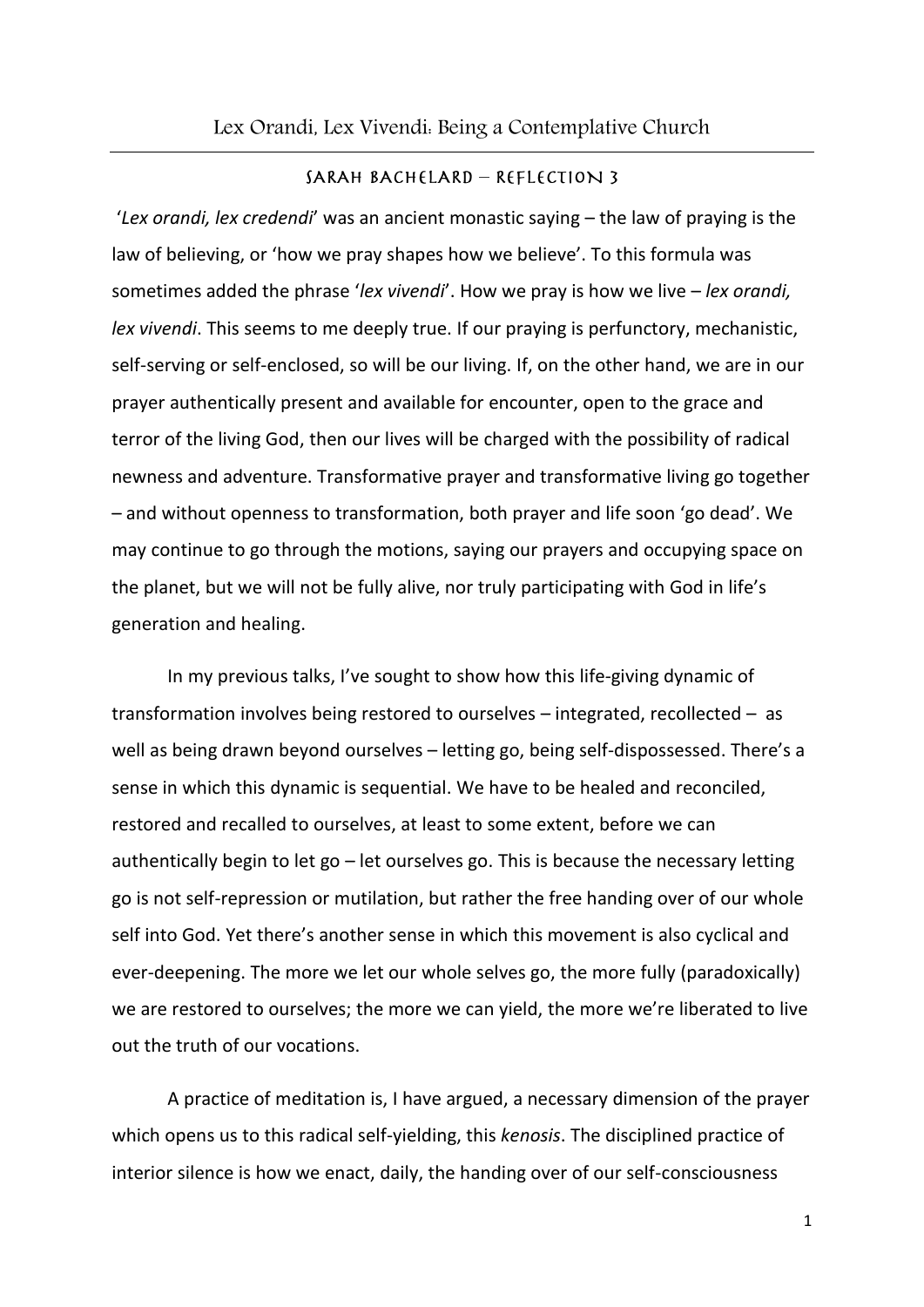## SARAH BACHELARD - REFLECTION 3

'*Lex orandi, lex credendi*' was an ancient monastic saying – the law of praying is the law of believing, or 'how we pray shapes how we believe'. To this formula was sometimes added the phrase '*lex vivendi*'. How we pray is how we live – *lex orandi, lex vivendi*. This seems to me deeply true. If our praying is perfunctory, mechanistic, self-serving or self-enclosed, so will be our living. If, on the other hand, we are in our prayer authentically present and available for encounter, open to the grace and terror of the living God, then our lives will be charged with the possibility of radical newness and adventure. Transformative prayer and transformative living go together – and without openness to transformation, both prayer and life soon 'go dead'. We may continue to go through the motions, saying our prayers and occupying space on the planet, but we will not be fully alive, nor truly participating with God in life's generation and healing.

In my previous talks, I've sought to show how this life-giving dynamic of transformation involves being restored to ourselves – integrated, recollected – as well as being drawn beyond ourselves – letting go, being self-dispossessed. There's a sense in which this dynamic is sequential. We have to be healed and reconciled, restored and recalled to ourselves, at least to some extent, before we can authentically begin to let go – let ourselves go. This is because the necessary letting go is not self-repression or mutilation, but rather the free handing over of our whole self into God. Yet there's another sense in which this movement is also cyclical and ever-deepening. The more we let our whole selves go, the more fully (paradoxically) we are restored to ourselves; the more we can yield, the more we're liberated to live out the truth of our vocations.

A practice of meditation is, I have argued, a necessary dimension of the prayer which opens us to this radical self-yielding, this *kenosis*. The disciplined practice of interior silence is how we enact, daily, the handing over of our self-consciousness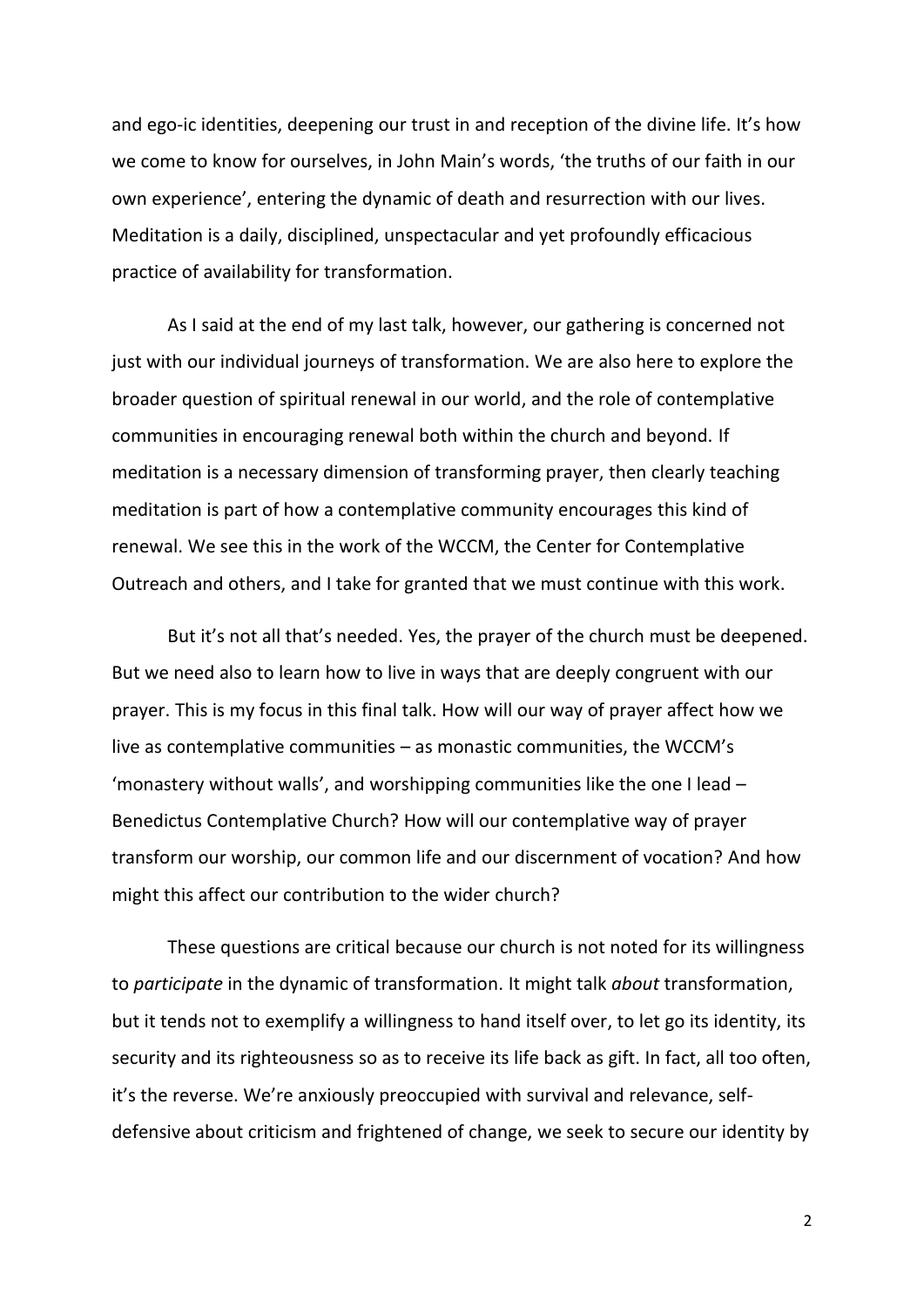and ego-ic identities, deepening our trust in and reception of the divine life. It's how we come to know for ourselves, in John Main's words, 'the truths of our faith in our own experience', entering the dynamic of death and resurrection with our lives. Meditation is a daily, disciplined, unspectacular and yet profoundly efficacious practice of availability for transformation.

As I said at the end of my last talk, however, our gathering is concerned not just with our individual journeys of transformation. We are also here to explore the broader question of spiritual renewal in our world, and the role of contemplative communities in encouraging renewal both within the church and beyond. If meditation is a necessary dimension of transforming prayer, then clearly teaching meditation is part of how a contemplative community encourages this kind of renewal. We see this in the work of the WCCM, the Center for Contemplative Outreach and others, and I take for granted that we must continue with this work.

But it's not all that's needed. Yes, the prayer of the church must be deepened. But we need also to learn how to live in ways that are deeply congruent with our prayer. This is my focus in this final talk. How will our way of prayer affect how we live as contemplative communities – as monastic communities, the WCCM's 'monastery without walls', and worshipping communities like the one I lead – Benedictus Contemplative Church? How will our contemplative way of prayer transform our worship, our common life and our discernment of vocation? And how might this affect our contribution to the wider church?

These questions are critical because our church is not noted for its willingness to *participate* in the dynamic of transformation. It might talk *about* transformation, but it tends not to exemplify a willingness to hand itself over, to let go its identity, its security and its righteousness so as to receive its life back as gift. In fact, all too often, it's the reverse. We're anxiously preoccupied with survival and relevance, selfdefensive about criticism and frightened of change, we seek to secure our identity by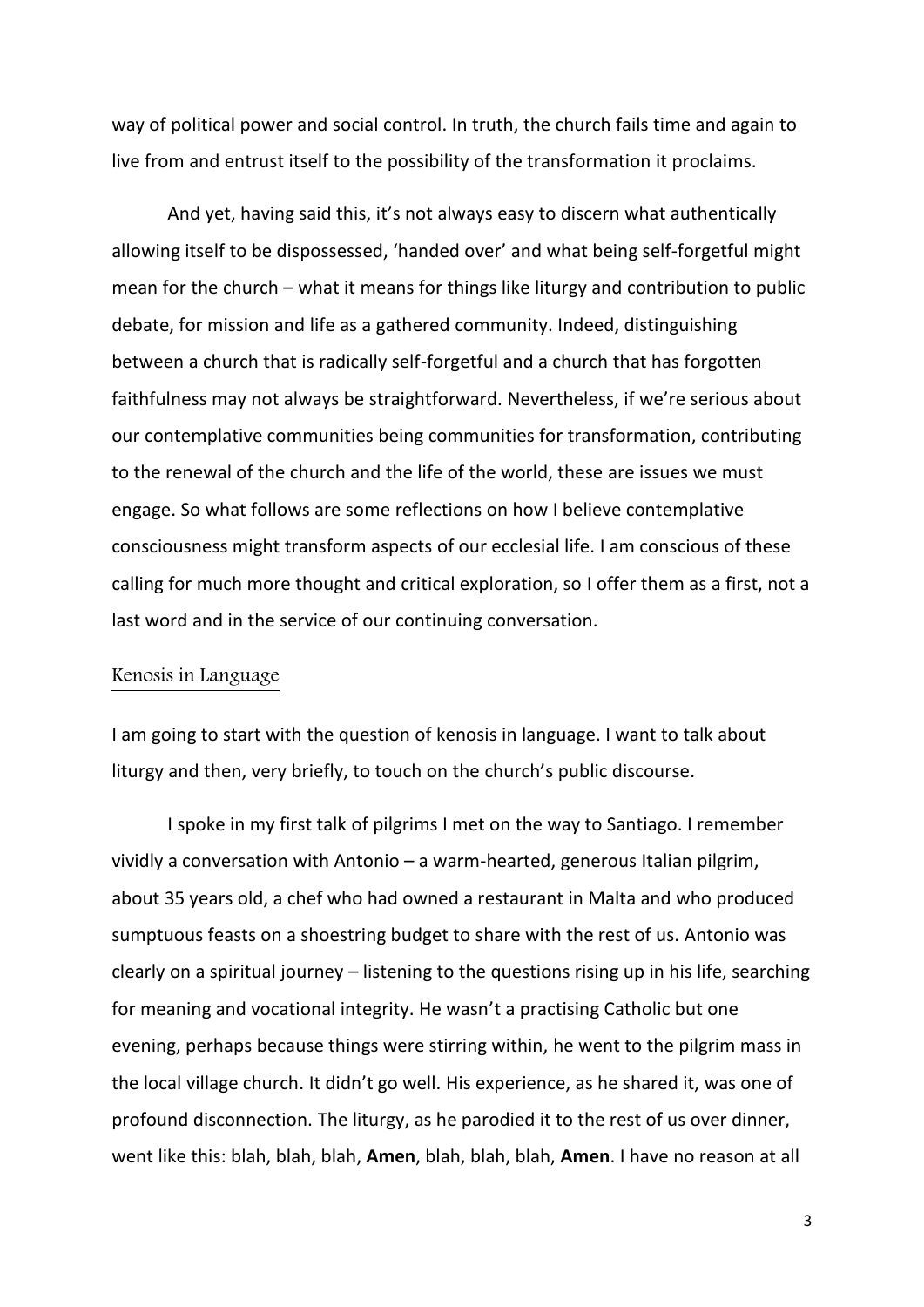way of political power and social control. In truth, the church fails time and again to live from and entrust itself to the possibility of the transformation it proclaims.

And yet, having said this, it's not always easy to discern what authentically allowing itself to be dispossessed, 'handed over' and what being self-forgetful might mean for the church – what it means for things like liturgy and contribution to public debate, for mission and life as a gathered community. Indeed, distinguishing between a church that is radically self-forgetful and a church that has forgotten faithfulness may not always be straightforward. Nevertheless, if we're serious about our contemplative communities being communities for transformation, contributing to the renewal of the church and the life of the world, these are issues we must engage. So what follows are some reflections on how I believe contemplative consciousness might transform aspects of our ecclesial life. I am conscious of these calling for much more thought and critical exploration, so I offer them as a first, not a last word and in the service of our continuing conversation.

## Kenosis in Language

I am going to start with the question of kenosis in language. I want to talk about liturgy and then, very briefly, to touch on the church's public discourse.

I spoke in my first talk of pilgrims I met on the way to Santiago. I remember vividly a conversation with Antonio – a warm-hearted, generous Italian pilgrim, about 35 years old, a chef who had owned a restaurant in Malta and who produced sumptuous feasts on a shoestring budget to share with the rest of us. Antonio was clearly on a spiritual journey – listening to the questions rising up in his life, searching for meaning and vocational integrity. He wasn't a practising Catholic but one evening, perhaps because things were stirring within, he went to the pilgrim mass in the local village church. It didn't go well. His experience, as he shared it, was one of profound disconnection. The liturgy, as he parodied it to the rest of us over dinner, went like this: blah, blah, blah, **Amen**, blah, blah, blah, **Amen**. I have no reason at all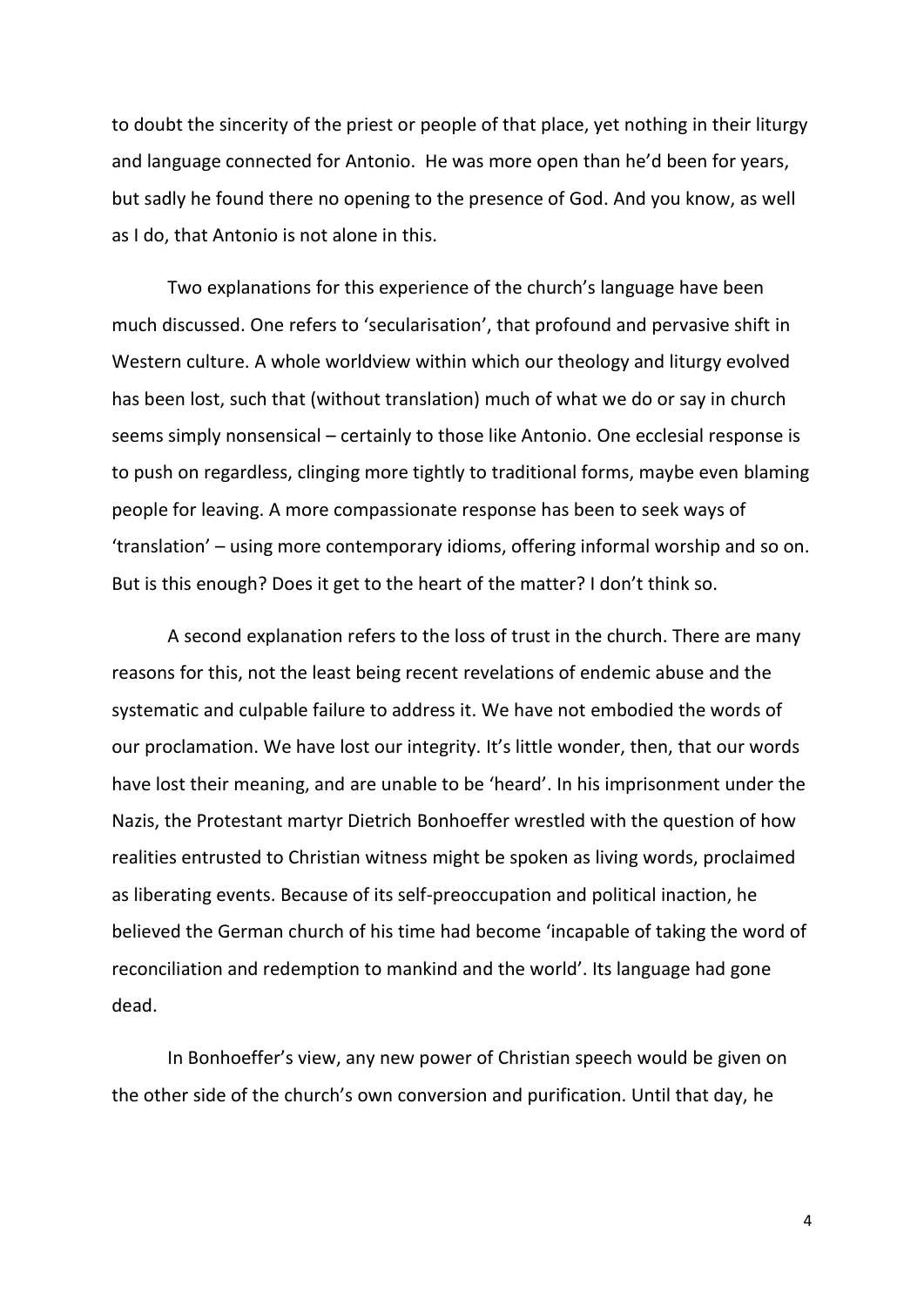to doubt the sincerity of the priest or people of that place, yet nothing in their liturgy and language connected for Antonio. He was more open than he'd been for years, but sadly he found there no opening to the presence of God. And you know, as well as I do, that Antonio is not alone in this.

Two explanations for this experience of the church's language have been much discussed. One refers to 'secularisation', that profound and pervasive shift in Western culture. A whole worldview within which our theology and liturgy evolved has been lost, such that (without translation) much of what we do or say in church seems simply nonsensical – certainly to those like Antonio. One ecclesial response is to push on regardless, clinging more tightly to traditional forms, maybe even blaming people for leaving. A more compassionate response has been to seek ways of 'translation' – using more contemporary idioms, offering informal worship and so on. But is this enough? Does it get to the heart of the matter? I don't think so.

A second explanation refers to the loss of trust in the church. There are many reasons for this, not the least being recent revelations of endemic abuse and the systematic and culpable failure to address it. We have not embodied the words of our proclamation. We have lost our integrity. It's little wonder, then, that our words have lost their meaning, and are unable to be 'heard'. In his imprisonment under the Nazis, the Protestant martyr Dietrich Bonhoeffer wrestled with the question of how realities entrusted to Christian witness might be spoken as living words, proclaimed as liberating events. Because of its self-preoccupation and political inaction, he believed the German church of his time had become 'incapable of taking the word of reconciliation and redemption to mankind and the world'. Its language had gone dead.

In Bonhoeffer's view, any new power of Christian speech would be given on the other side of the church's own conversion and purification. Until that day, he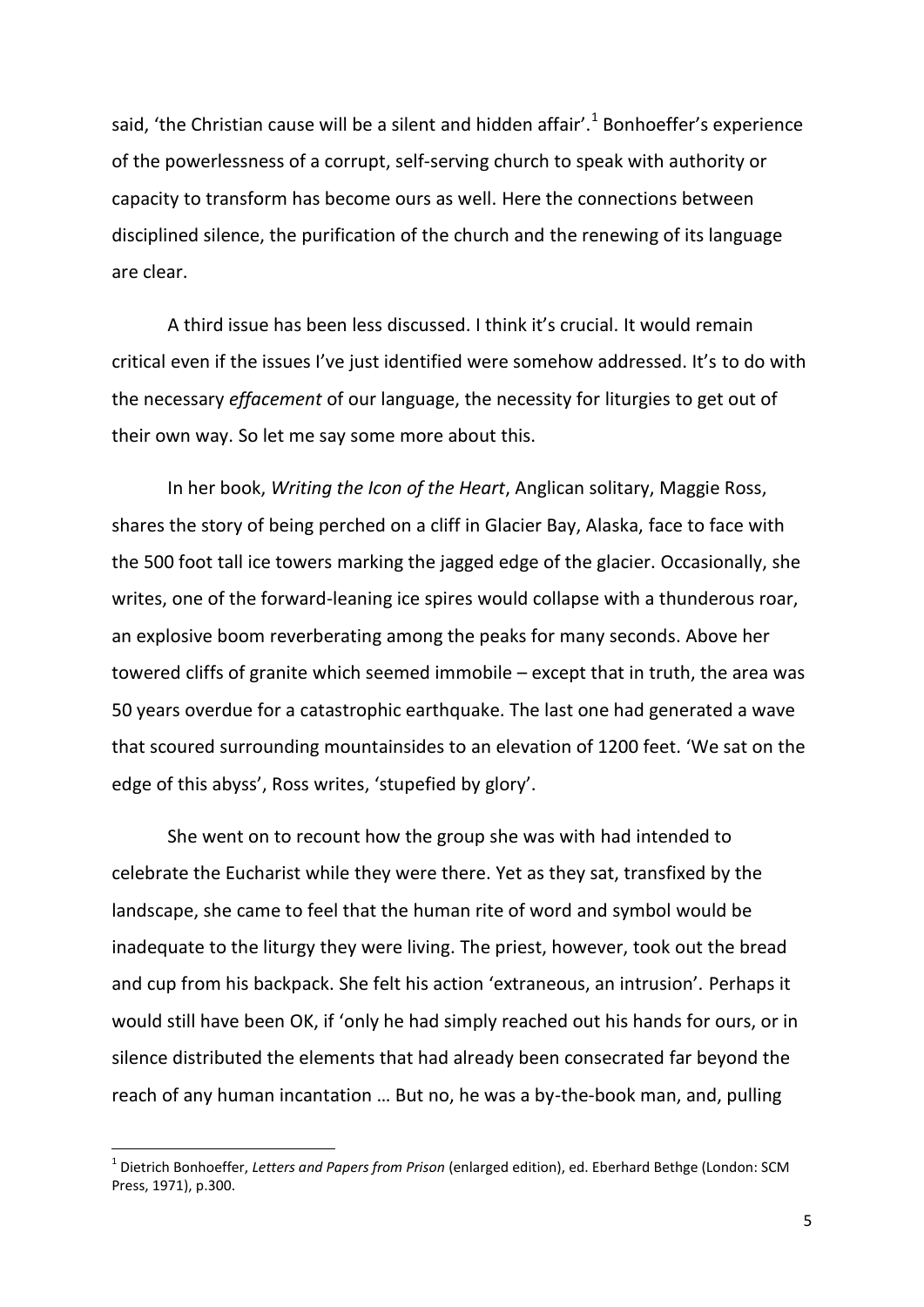said, 'the Christian cause will be a silent and hidden affair'.<sup>1</sup> Bonhoeffer's experience of the powerlessness of a corrupt, self-serving church to speak with authority or capacity to transform has become ours as well. Here the connections between disciplined silence, the purification of the church and the renewing of its language are clear.

A third issue has been less discussed. I think it's crucial. It would remain critical even if the issues I've just identified were somehow addressed. It's to do with the necessary *effacement* of our language, the necessity for liturgies to get out of their own way. So let me say some more about this.

In her book, *Writing the Icon of the Heart*, Anglican solitary, Maggie Ross, shares the story of being perched on a cliff in Glacier Bay, Alaska, face to face with the 500 foot tall ice towers marking the jagged edge of the glacier. Occasionally, she writes, one of the forward-leaning ice spires would collapse with a thunderous roar, an explosive boom reverberating among the peaks for many seconds. Above her towered cliffs of granite which seemed immobile – except that in truth, the area was 50 years overdue for a catastrophic earthquake. The last one had generated a wave that scoured surrounding mountainsides to an elevation of 1200 feet. 'We sat on the edge of this abyss', Ross writes, 'stupefied by glory'.

She went on to recount how the group she was with had intended to celebrate the Eucharist while they were there. Yet as they sat, transfixed by the landscape, she came to feel that the human rite of word and symbol would be inadequate to the liturgy they were living. The priest, however, took out the bread and cup from his backpack. She felt his action 'extraneous, an intrusion'. Perhaps it would still have been OK, if 'only he had simply reached out his hands for ours, or in silence distributed the elements that had already been consecrated far beyond the reach of any human incantation … But no, he was a by-the-book man, and, pulling

<sup>1</sup> Dietrich Bonhoeffer, *Letters and Papers from Prison* (enlarged edition), ed. Eberhard Bethge (London: SCM Press, 1971), p.300.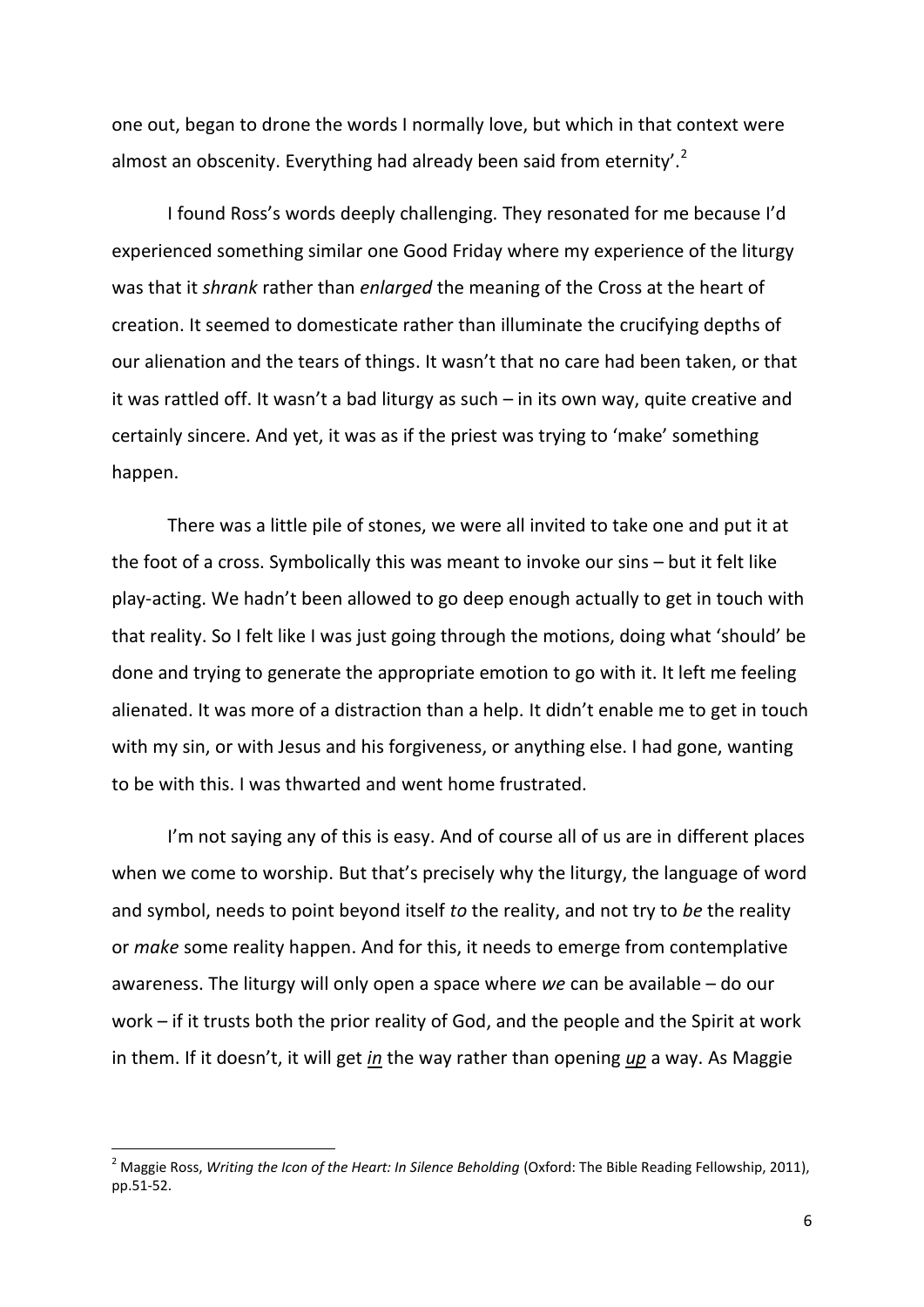one out, began to drone the words I normally love, but which in that context were almost an obscenity. Everything had already been said from eternity'.<sup>2</sup>

I found Ross's words deeply challenging. They resonated for me because I'd experienced something similar one Good Friday where my experience of the liturgy was that it *shrank* rather than *enlarged* the meaning of the Cross at the heart of creation. It seemed to domesticate rather than illuminate the crucifying depths of our alienation and the tears of things. It wasn't that no care had been taken, or that it was rattled off. It wasn't a bad liturgy as such – in its own way, quite creative and certainly sincere. And yet, it was as if the priest was trying to 'make' something happen.

There was a little pile of stones, we were all invited to take one and put it at the foot of a cross. Symbolically this was meant to invoke our sins – but it felt like play-acting. We hadn't been allowed to go deep enough actually to get in touch with that reality. So I felt like I was just going through the motions, doing what 'should' be done and trying to generate the appropriate emotion to go with it. It left me feeling alienated. It was more of a distraction than a help. It didn't enable me to get in touch with my sin, or with Jesus and his forgiveness, or anything else. I had gone, wanting to be with this. I was thwarted and went home frustrated.

I'm not saying any of this is easy. And of course all of us are in different places when we come to worship. But that's precisely why the liturgy, the language of word and symbol, needs to point beyond itself *to* the reality, and not try to *be* the reality or *make* some reality happen. And for this, it needs to emerge from contemplative awareness. The liturgy will only open a space where *we* can be available – do our work – if it trusts both the prior reality of God, and the people and the Spirit at work in them. If it doesn't, it will get *in* the way rather than opening *up* a way. As Maggie

<sup>2</sup> Maggie Ross, *Writing the Icon of the Heart: In Silence Beholding* (Oxford: The Bible Reading Fellowship, 2011), pp.51-52.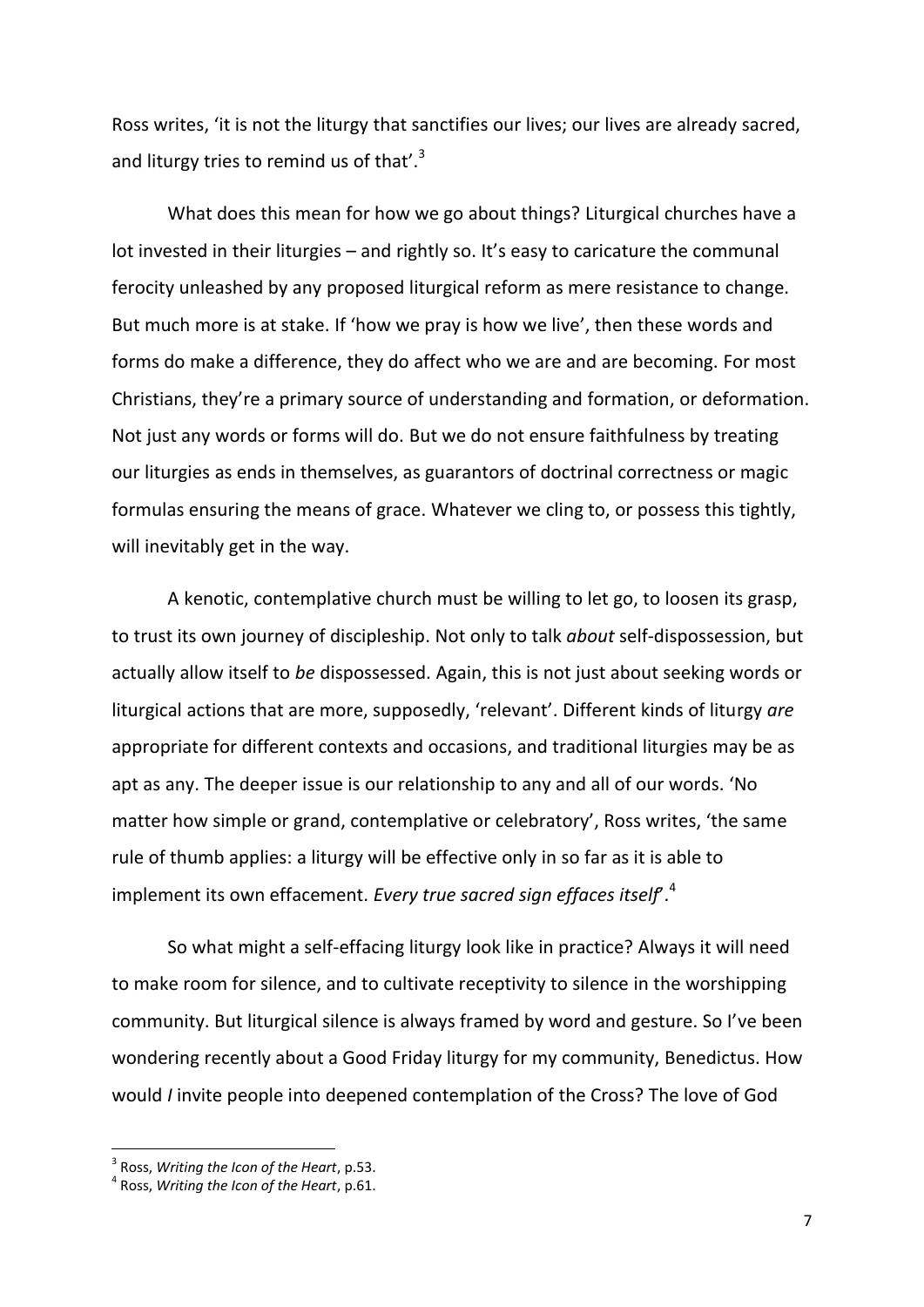Ross writes, 'it is not the liturgy that sanctifies our lives; our lives are already sacred, and liturgy tries to remind us of that'. $3$ 

What does this mean for how we go about things? Liturgical churches have a lot invested in their liturgies – and rightly so. It's easy to caricature the communal ferocity unleashed by any proposed liturgical reform as mere resistance to change. But much more is at stake. If 'how we pray is how we live', then these words and forms do make a difference, they do affect who we are and are becoming. For most Christians, they're a primary source of understanding and formation, or deformation. Not just any words or forms will do. But we do not ensure faithfulness by treating our liturgies as ends in themselves, as guarantors of doctrinal correctness or magic formulas ensuring the means of grace. Whatever we cling to, or possess this tightly, will inevitably get in the way.

A kenotic, contemplative church must be willing to let go, to loosen its grasp, to trust its own journey of discipleship. Not only to talk *about* self-dispossession, but actually allow itself to *be* dispossessed. Again, this is not just about seeking words or liturgical actions that are more, supposedly, 'relevant'. Different kinds of liturgy *are* appropriate for different contexts and occasions, and traditional liturgies may be as apt as any. The deeper issue is our relationship to any and all of our words. 'No matter how simple or grand, contemplative or celebratory', Ross writes, 'the same rule of thumb applies: a liturgy will be effective only in so far as it is able to implement its own effacement. *Every true sacred sign effaces itself*'.<sup>4</sup>

So what might a self-effacing liturgy look like in practice? Always it will need to make room for silence, and to cultivate receptivity to silence in the worshipping community. But liturgical silence is always framed by word and gesture. So I've been wondering recently about a Good Friday liturgy for my community, Benedictus. How would *I* invite people into deepened contemplation of the Cross? The love of God

<sup>3</sup> Ross, *Writing the Icon of the Heart*, p.53.

<sup>4</sup> Ross, *Writing the Icon of the Heart*, p.61.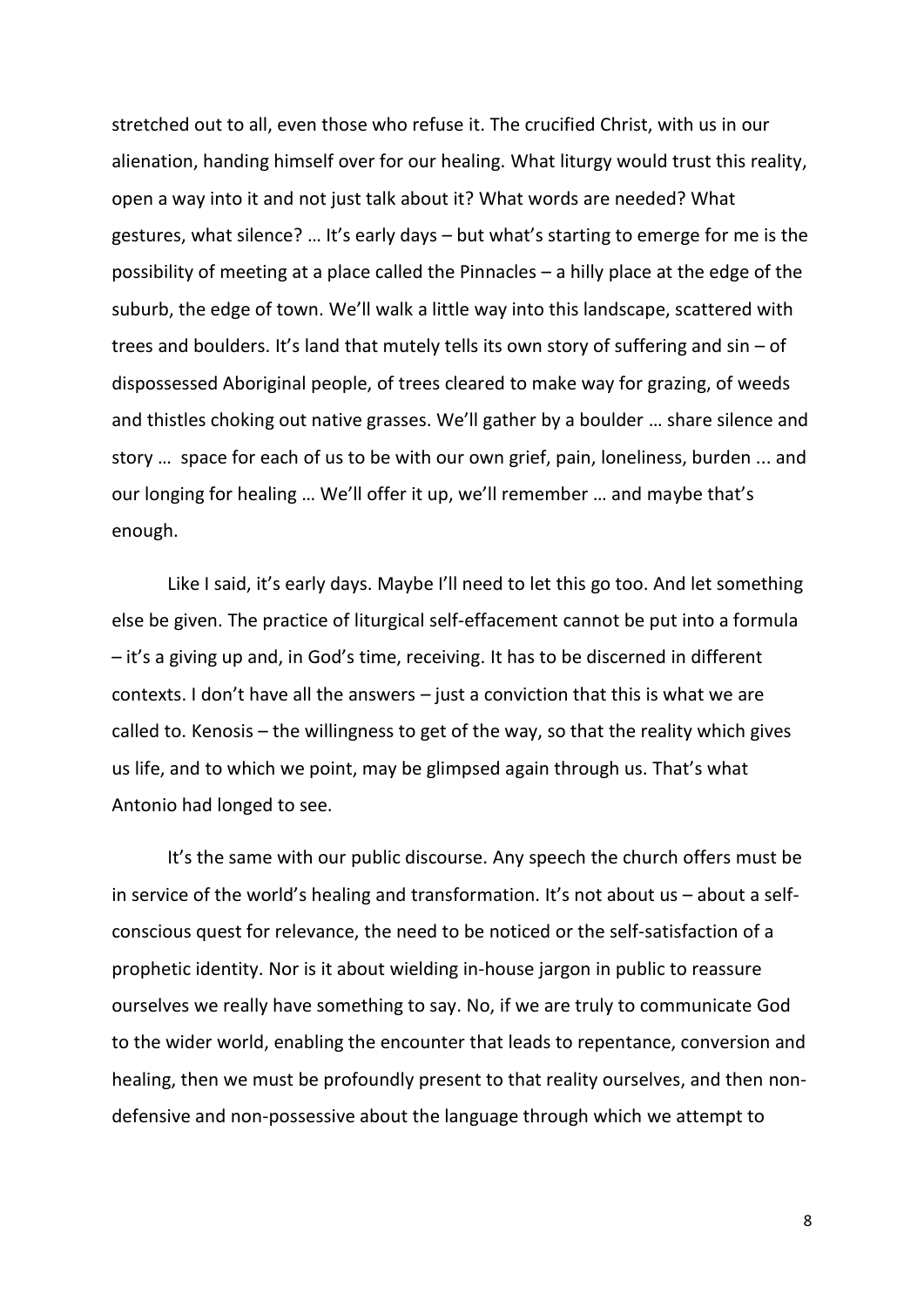stretched out to all, even those who refuse it. The crucified Christ, with us in our alienation, handing himself over for our healing. What liturgy would trust this reality, open a way into it and not just talk about it? What words are needed? What gestures, what silence? … It's early days – but what's starting to emerge for me is the possibility of meeting at a place called the Pinnacles – a hilly place at the edge of the suburb, the edge of town. We'll walk a little way into this landscape, scattered with trees and boulders. It's land that mutely tells its own story of suffering and sin – of dispossessed Aboriginal people, of trees cleared to make way for grazing, of weeds and thistles choking out native grasses. We'll gather by a boulder … share silence and story … space for each of us to be with our own grief, pain, loneliness, burden ... and our longing for healing … We'll offer it up, we'll remember … and maybe that's enough.

Like I said, it's early days. Maybe I'll need to let this go too. And let something else be given. The practice of liturgical self-effacement cannot be put into a formula – it's a giving up and, in God's time, receiving. It has to be discerned in different contexts. I don't have all the answers – just a conviction that this is what we are called to. Kenosis – the willingness to get of the way, so that the reality which gives us life, and to which we point, may be glimpsed again through us. That's what Antonio had longed to see.

It's the same with our public discourse. Any speech the church offers must be in service of the world's healing and transformation. It's not about us – about a selfconscious quest for relevance, the need to be noticed or the self-satisfaction of a prophetic identity. Nor is it about wielding in-house jargon in public to reassure ourselves we really have something to say. No, if we are truly to communicate God to the wider world, enabling the encounter that leads to repentance, conversion and healing, then we must be profoundly present to that reality ourselves, and then nondefensive and non-possessive about the language through which we attempt to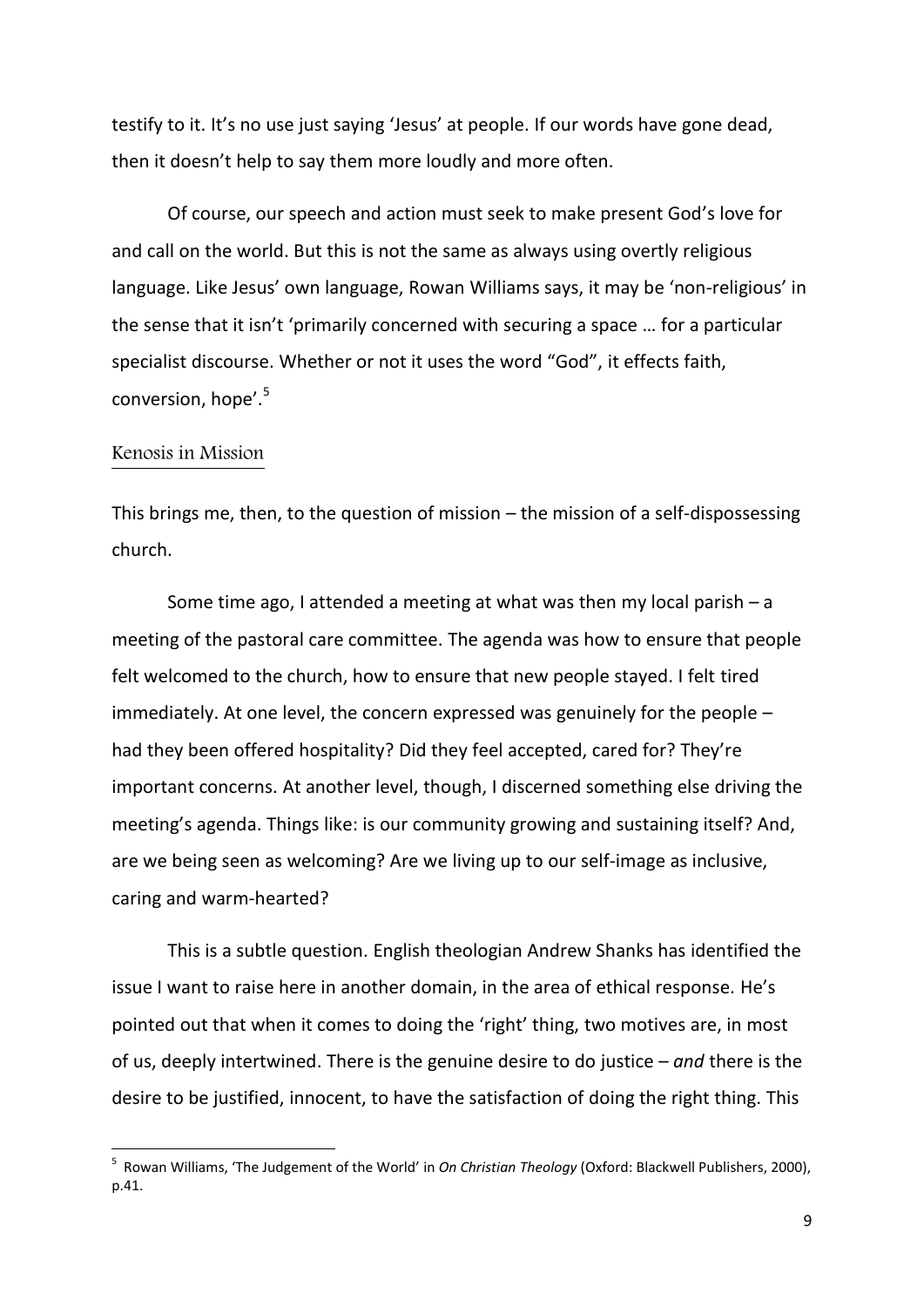testify to it. It's no use just saying 'Jesus' at people. If our words have gone dead, then it doesn't help to say them more loudly and more often.

Of course, our speech and action must seek to make present God's love for and call on the world. But this is not the same as always using overtly religious language. Like Jesus' own language, Rowan Williams says, it may be 'non-religious' in the sense that it isn't 'primarily concerned with securing a space … for a particular specialist discourse. Whether or not it uses the word "God", it effects faith, conversion, hope'.<sup>5</sup>

## Kenosis in Mission

**.** 

This brings me, then, to the question of mission – the mission of a self-dispossessing church.

Some time ago, I attended a meeting at what was then my local parish  $- a$ meeting of the pastoral care committee. The agenda was how to ensure that people felt welcomed to the church, how to ensure that new people stayed. I felt tired immediately. At one level, the concern expressed was genuinely for the people – had they been offered hospitality? Did they feel accepted, cared for? They're important concerns. At another level, though, I discerned something else driving the meeting's agenda. Things like: is our community growing and sustaining itself? And, are we being seen as welcoming? Are we living up to our self-image as inclusive, caring and warm-hearted?

This is a subtle question. English theologian Andrew Shanks has identified the issue I want to raise here in another domain, in the area of ethical response. He's pointed out that when it comes to doing the 'right' thing, two motives are, in most of us, deeply intertwined. There is the genuine desire to do justice – *and* there is the desire to be justified, innocent, to have the satisfaction of doing the right thing. This

<sup>5</sup> Rowan Williams, 'The Judgement of the World' in *On Christian Theology* (Oxford: Blackwell Publishers, 2000), p.41.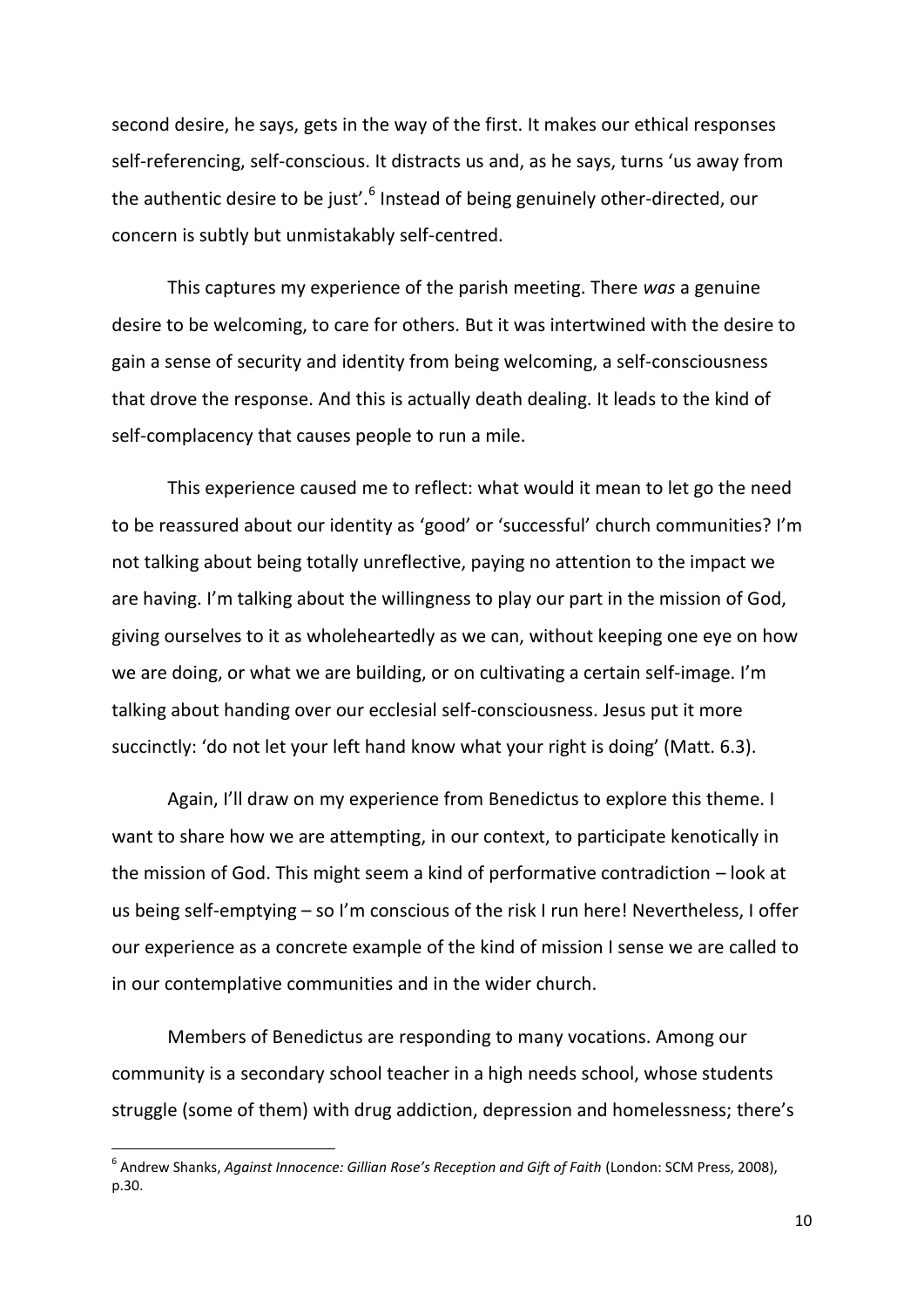second desire, he says, gets in the way of the first. It makes our ethical responses self-referencing, self-conscious. It distracts us and, as he says, turns 'us away from the authentic desire to be just'.<sup>6</sup> Instead of being genuinely other-directed, our concern is subtly but unmistakably self-centred.

This captures my experience of the parish meeting. There *was* a genuine desire to be welcoming, to care for others. But it was intertwined with the desire to gain a sense of security and identity from being welcoming, a self-consciousness that drove the response. And this is actually death dealing. It leads to the kind of self-complacency that causes people to run a mile.

This experience caused me to reflect: what would it mean to let go the need to be reassured about our identity as 'good' or 'successful' church communities? I'm not talking about being totally unreflective, paying no attention to the impact we are having. I'm talking about the willingness to play our part in the mission of God, giving ourselves to it as wholeheartedly as we can, without keeping one eye on how we are doing, or what we are building, or on cultivating a certain self-image. I'm talking about handing over our ecclesial self-consciousness. Jesus put it more succinctly: 'do not let your left hand know what your right is doing' (Matt. 6.3).

Again, I'll draw on my experience from Benedictus to explore this theme. I want to share how we are attempting, in our context, to participate kenotically in the mission of God. This might seem a kind of performative contradiction – look at us being self-emptying – so I'm conscious of the risk I run here! Nevertheless, I offer our experience as a concrete example of the kind of mission I sense we are called to in our contemplative communities and in the wider church.

Members of Benedictus are responding to many vocations. Among our community is a secondary school teacher in a high needs school, whose students struggle (some of them) with drug addiction, depression and homelessness; there's

 6 Andrew Shanks, *Against Innocence: Gillian Rose's Reception and Gift of Faith* (London: SCM Press, 2008), p.30.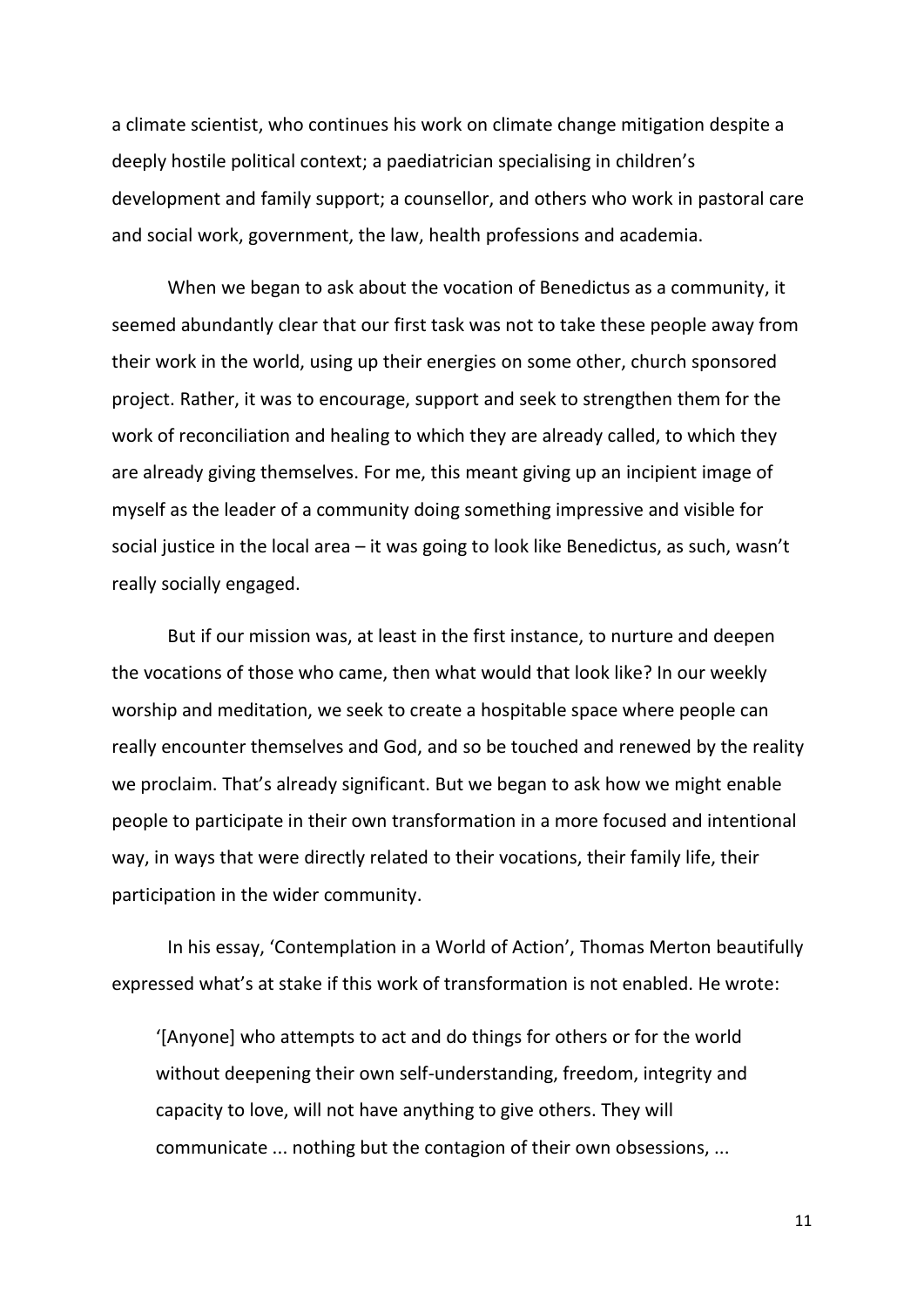a climate scientist, who continues his work on climate change mitigation despite a deeply hostile political context; a paediatrician specialising in children's development and family support; a counsellor, and others who work in pastoral care and social work, government, the law, health professions and academia.

When we began to ask about the vocation of Benedictus as a community, it seemed abundantly clear that our first task was not to take these people away from their work in the world, using up their energies on some other, church sponsored project. Rather, it was to encourage, support and seek to strengthen them for the work of reconciliation and healing to which they are already called, to which they are already giving themselves. For me, this meant giving up an incipient image of myself as the leader of a community doing something impressive and visible for social justice in the local area – it was going to look like Benedictus, as such, wasn't really socially engaged.

But if our mission was, at least in the first instance, to nurture and deepen the vocations of those who came, then what would that look like? In our weekly worship and meditation, we seek to create a hospitable space where people can really encounter themselves and God, and so be touched and renewed by the reality we proclaim. That's already significant. But we began to ask how we might enable people to participate in their own transformation in a more focused and intentional way, in ways that were directly related to their vocations, their family life, their participation in the wider community.

In his essay, 'Contemplation in a World of Action', Thomas Merton beautifully expressed what's at stake if this work of transformation is not enabled. He wrote:

'[Anyone] who attempts to act and do things for others or for the world without deepening their own self-understanding, freedom, integrity and capacity to love, will not have anything to give others. They will communicate ... nothing but the contagion of their own obsessions, ...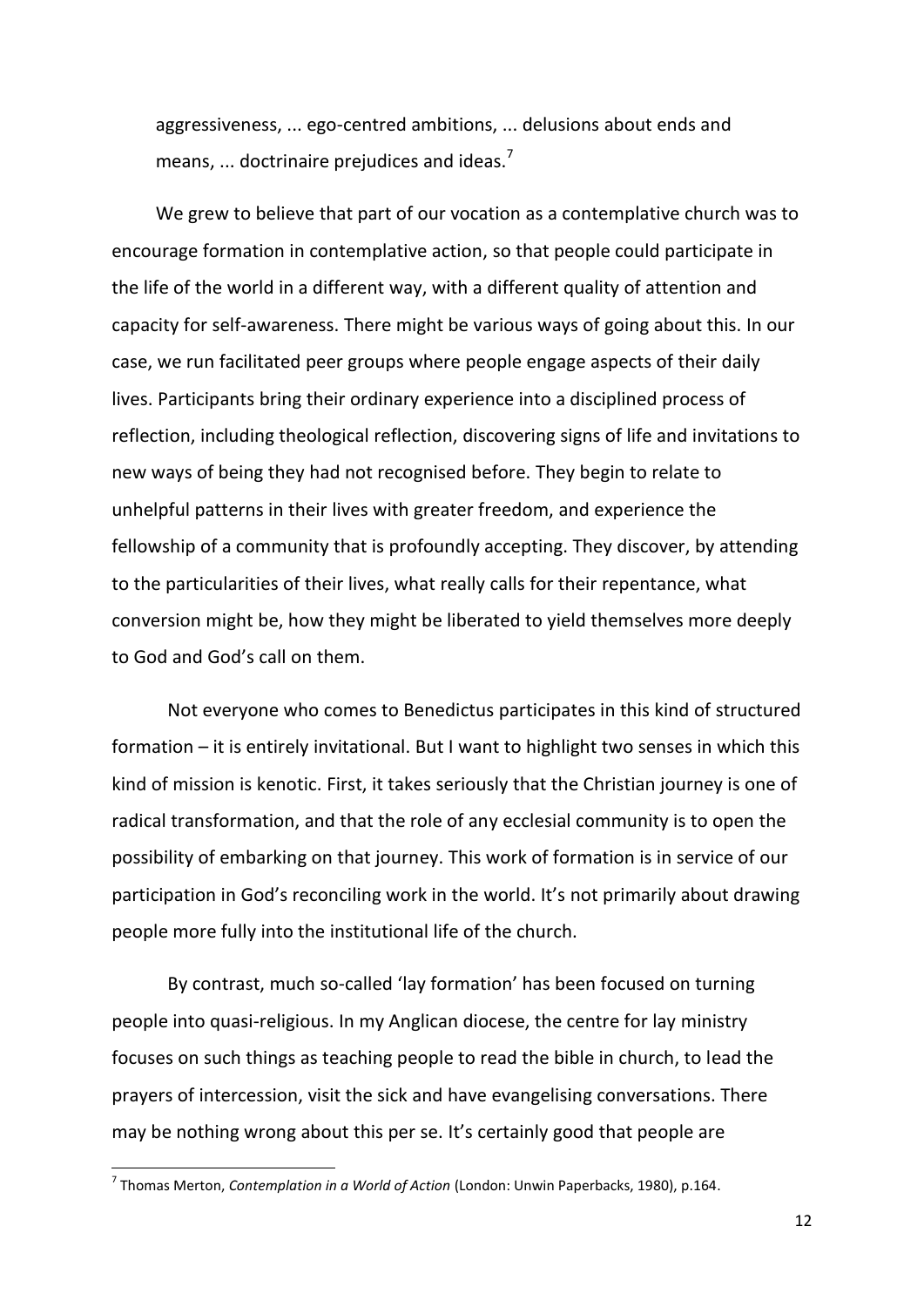aggressiveness, ... ego-centred ambitions, ... delusions about ends and means, ... doctrinaire prejudices and ideas.<sup>7</sup>

We grew to believe that part of our vocation as a contemplative church was to encourage formation in contemplative action, so that people could participate in the life of the world in a different way, with a different quality of attention and capacity for self-awareness. There might be various ways of going about this. In our case, we run facilitated peer groups where people engage aspects of their daily lives. Participants bring their ordinary experience into a disciplined process of reflection, including theological reflection, discovering signs of life and invitations to new ways of being they had not recognised before. They begin to relate to unhelpful patterns in their lives with greater freedom, and experience the fellowship of a community that is profoundly accepting. They discover, by attending to the particularities of their lives, what really calls for their repentance, what conversion might be, how they might be liberated to yield themselves more deeply to God and God's call on them.

Not everyone who comes to Benedictus participates in this kind of structured formation – it is entirely invitational. But I want to highlight two senses in which this kind of mission is kenotic. First, it takes seriously that the Christian journey is one of radical transformation, and that the role of any ecclesial community is to open the possibility of embarking on that journey. This work of formation is in service of our participation in God's reconciling work in the world. It's not primarily about drawing people more fully into the institutional life of the church.

By contrast, much so-called 'lay formation' has been focused on turning people into quasi-religious. In my Anglican diocese, the centre for lay ministry focuses on such things as teaching people to read the bible in church, to lead the prayers of intercession, visit the sick and have evangelising conversations. There may be nothing wrong about this per se. It's certainly good that people are

<sup>7</sup> Thomas Merton, *Contemplation in a World of Action* (London: Unwin Paperbacks, 1980), p.164.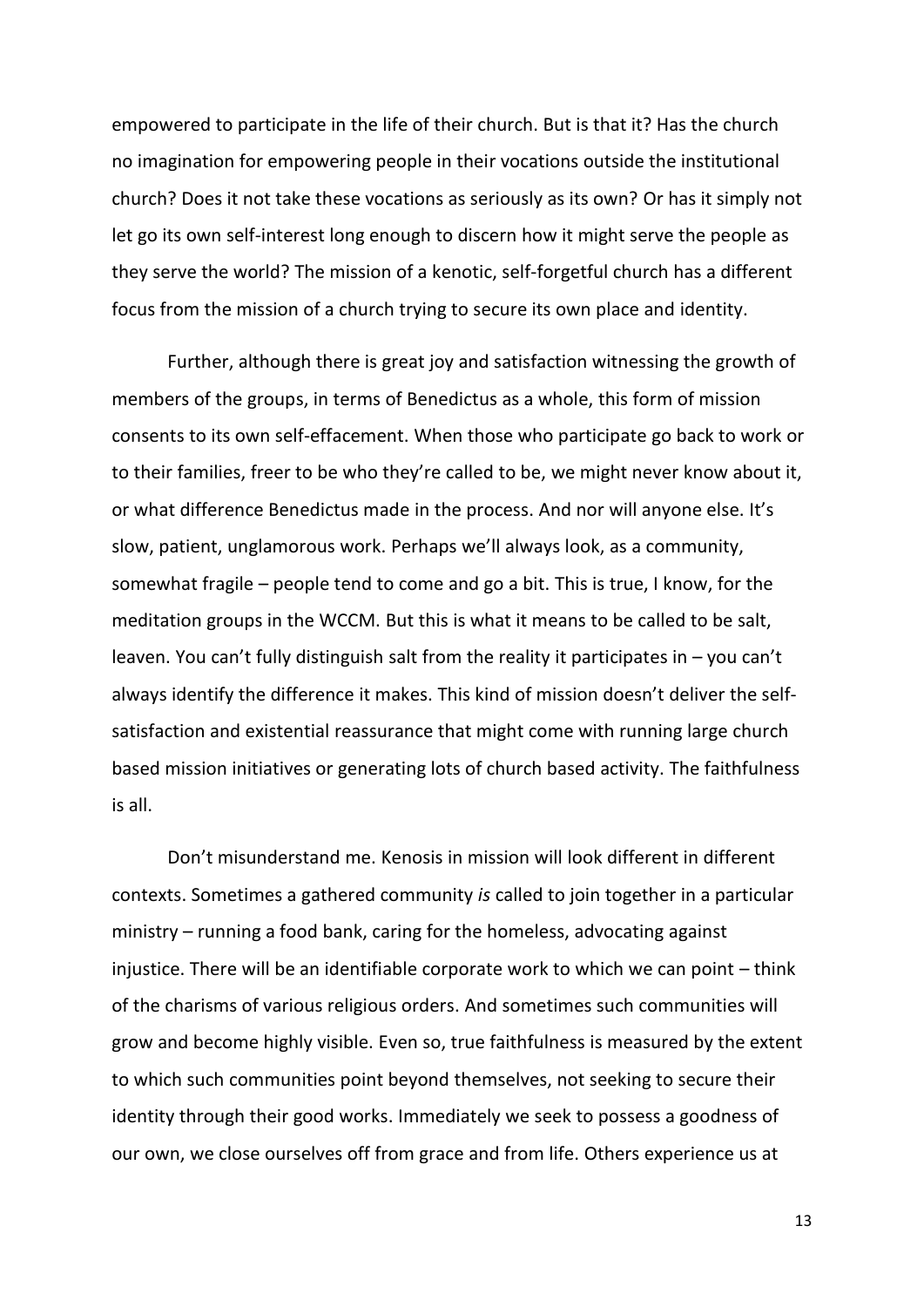empowered to participate in the life of their church. But is that it? Has the church no imagination for empowering people in their vocations outside the institutional church? Does it not take these vocations as seriously as its own? Or has it simply not let go its own self-interest long enough to discern how it might serve the people as they serve the world? The mission of a kenotic, self-forgetful church has a different focus from the mission of a church trying to secure its own place and identity.

Further, although there is great joy and satisfaction witnessing the growth of members of the groups, in terms of Benedictus as a whole, this form of mission consents to its own self-effacement. When those who participate go back to work or to their families, freer to be who they're called to be, we might never know about it, or what difference Benedictus made in the process. And nor will anyone else. It's slow, patient, unglamorous work. Perhaps we'll always look, as a community, somewhat fragile – people tend to come and go a bit. This is true, I know, for the meditation groups in the WCCM. But this is what it means to be called to be salt, leaven. You can't fully distinguish salt from the reality it participates in – you can't always identify the difference it makes. This kind of mission doesn't deliver the selfsatisfaction and existential reassurance that might come with running large church based mission initiatives or generating lots of church based activity. The faithfulness is all.

Don't misunderstand me. Kenosis in mission will look different in different contexts. Sometimes a gathered community *is* called to join together in a particular ministry – running a food bank, caring for the homeless, advocating against injustice. There will be an identifiable corporate work to which we can point – think of the charisms of various religious orders. And sometimes such communities will grow and become highly visible. Even so, true faithfulness is measured by the extent to which such communities point beyond themselves, not seeking to secure their identity through their good works. Immediately we seek to possess a goodness of our own, we close ourselves off from grace and from life. Others experience us at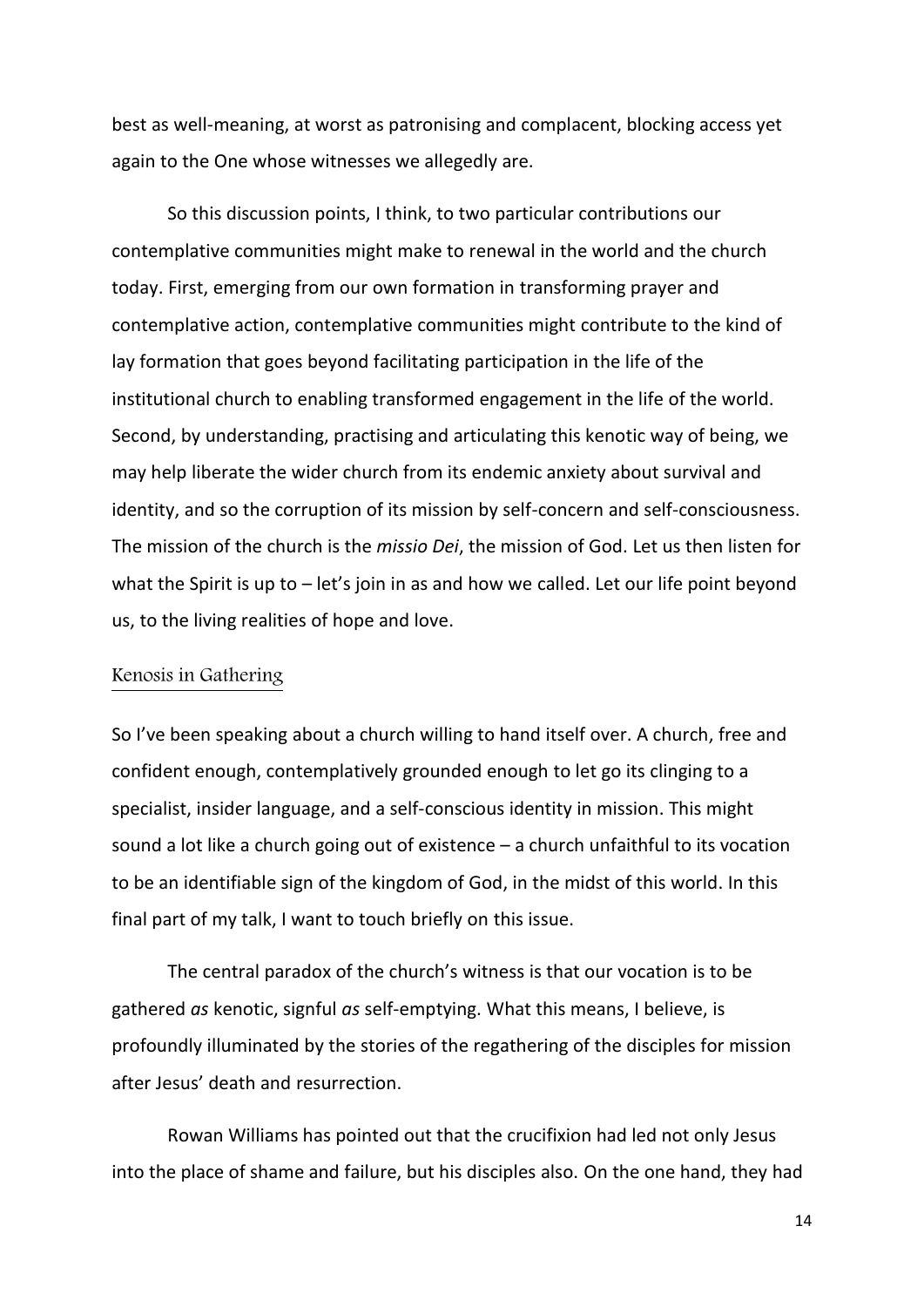best as well-meaning, at worst as patronising and complacent, blocking access yet again to the One whose witnesses we allegedly are.

So this discussion points, I think, to two particular contributions our contemplative communities might make to renewal in the world and the church today. First, emerging from our own formation in transforming prayer and contemplative action, contemplative communities might contribute to the kind of lay formation that goes beyond facilitating participation in the life of the institutional church to enabling transformed engagement in the life of the world. Second, by understanding, practising and articulating this kenotic way of being, we may help liberate the wider church from its endemic anxiety about survival and identity, and so the corruption of its mission by self-concern and self-consciousness. The mission of the church is the *missio Dei*, the mission of God. Let us then listen for what the Spirit is up to – let's join in as and how we called. Let our life point beyond us, to the living realities of hope and love.

## Kenosis in Gathering

So I've been speaking about a church willing to hand itself over. A church, free and confident enough, contemplatively grounded enough to let go its clinging to a specialist, insider language, and a self-conscious identity in mission. This might sound a lot like a church going out of existence – a church unfaithful to its vocation to be an identifiable sign of the kingdom of God, in the midst of this world. In this final part of my talk, I want to touch briefly on this issue.

The central paradox of the church's witness is that our vocation is to be gathered *as* kenotic, signful *as* self-emptying. What this means, I believe, is profoundly illuminated by the stories of the regathering of the disciples for mission after Jesus' death and resurrection.

Rowan Williams has pointed out that the crucifixion had led not only Jesus into the place of shame and failure, but his disciples also. On the one hand, they had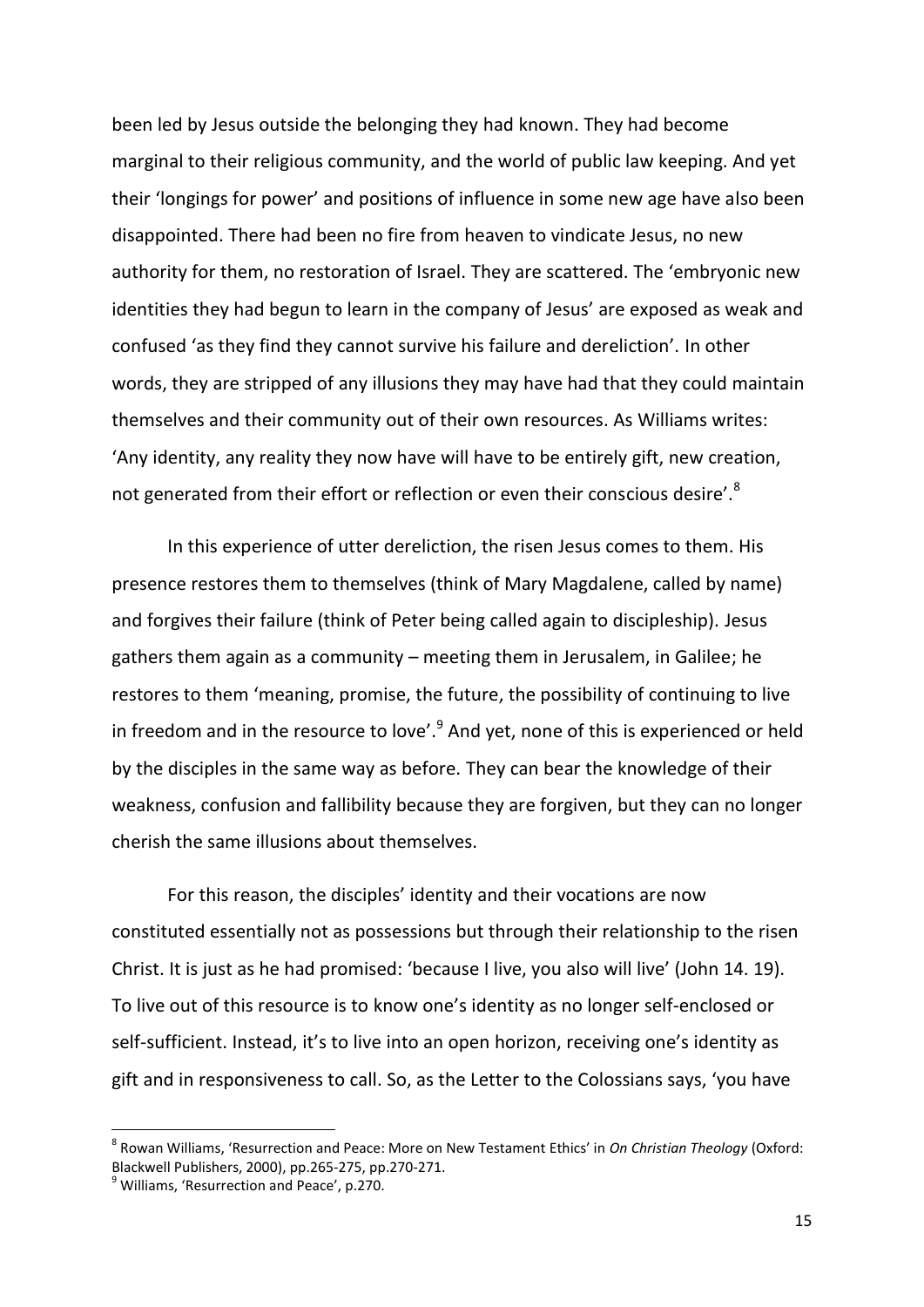been led by Jesus outside the belonging they had known. They had become marginal to their religious community, and the world of public law keeping. And yet their 'longings for power' and positions of influence in some new age have also been disappointed. There had been no fire from heaven to vindicate Jesus, no new authority for them, no restoration of Israel. They are scattered. The 'embryonic new identities they had begun to learn in the company of Jesus' are exposed as weak and confused 'as they find they cannot survive his failure and dereliction'. In other words, they are stripped of any illusions they may have had that they could maintain themselves and their community out of their own resources. As Williams writes: 'Any identity, any reality they now have will have to be entirely gift, new creation, not generated from their effort or reflection or even their conscious desire'.<sup>8</sup>

In this experience of utter dereliction, the risen Jesus comes to them. His presence restores them to themselves (think of Mary Magdalene, called by name) and forgives their failure (think of Peter being called again to discipleship). Jesus gathers them again as a community – meeting them in Jerusalem, in Galilee; he restores to them 'meaning, promise, the future, the possibility of continuing to live in freedom and in the resource to love'.<sup>9</sup> And yet, none of this is experienced or held by the disciples in the same way as before. They can bear the knowledge of their weakness, confusion and fallibility because they are forgiven, but they can no longer cherish the same illusions about themselves.

For this reason, the disciples' identity and their vocations are now constituted essentially not as possessions but through their relationship to the risen Christ. It is just as he had promised: 'because I live, you also will live' (John 14. 19). To live out of this resource is to know one's identity as no longer self-enclosed or self-sufficient. Instead, it's to live into an open horizon, receiving one's identity as gift and in responsiveness to call. So, as the Letter to the Colossians says, 'you have

<sup>8</sup> Rowan Williams, 'Resurrection and Peace: More on New Testament Ethics' in *On Christian Theology* (Oxford: Blackwell Publishers, 2000), pp.265-275, pp.270-271.

 $9$  Williams, 'Resurrection and Peace', p.270.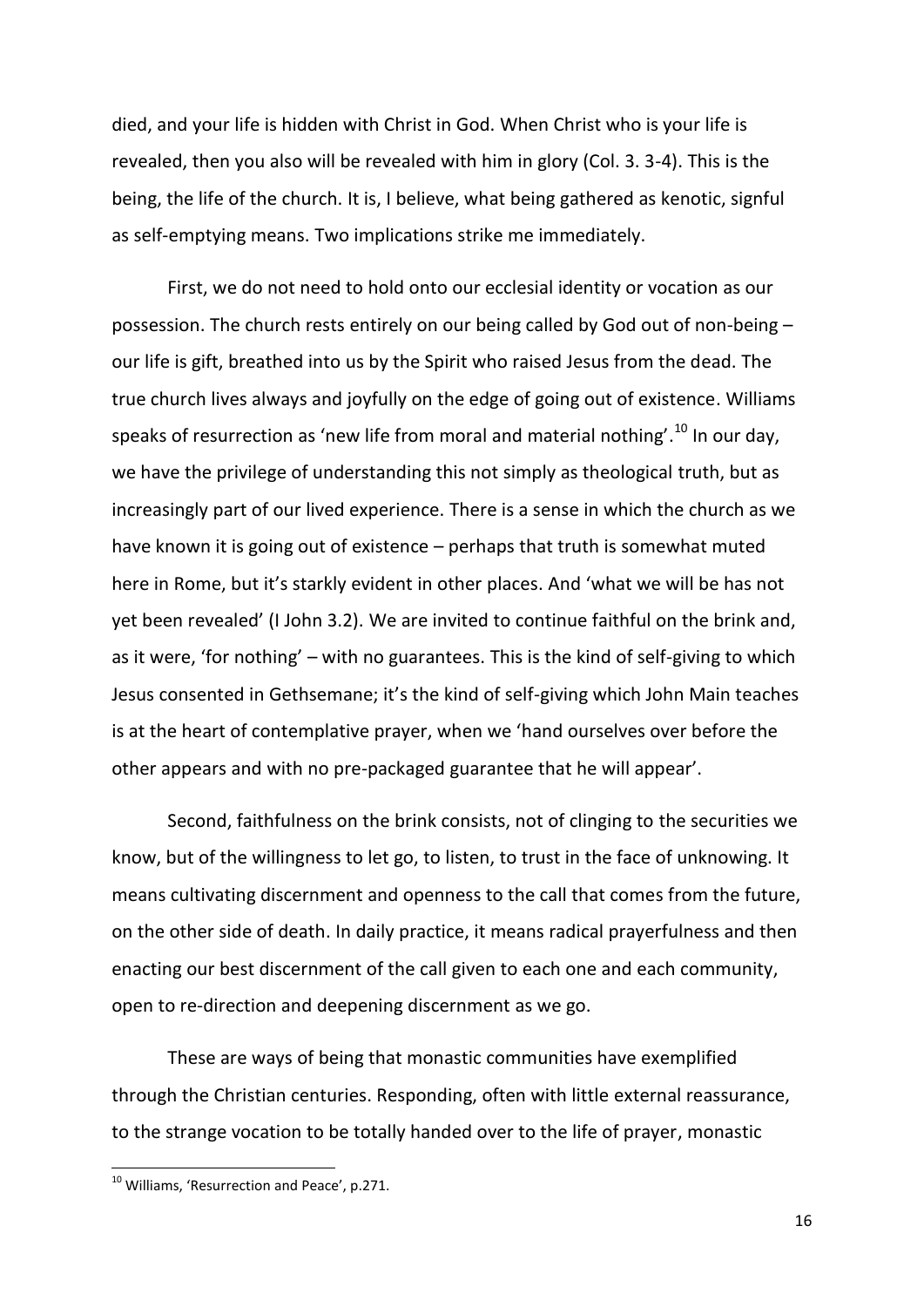died, and your life is hidden with Christ in God. When Christ who is your life is revealed, then you also will be revealed with him in glory (Col. 3. 3-4). This is the being, the life of the church. It is, I believe, what being gathered as kenotic, signful as self-emptying means. Two implications strike me immediately.

First, we do not need to hold onto our ecclesial identity or vocation as our possession. The church rests entirely on our being called by God out of non-being – our life is gift, breathed into us by the Spirit who raised Jesus from the dead. The true church lives always and joyfully on the edge of going out of existence. Williams speaks of resurrection as 'new life from moral and material nothing'.<sup>10</sup> In our day, we have the privilege of understanding this not simply as theological truth, but as increasingly part of our lived experience. There is a sense in which the church as we have known it is going out of existence – perhaps that truth is somewhat muted here in Rome, but it's starkly evident in other places. And 'what we will be has not yet been revealed' (I John 3.2). We are invited to continue faithful on the brink and, as it were, 'for nothing' – with no guarantees. This is the kind of self-giving to which Jesus consented in Gethsemane; it's the kind of self-giving which John Main teaches is at the heart of contemplative prayer, when we 'hand ourselves over before the other appears and with no pre-packaged guarantee that he will appear'.

Second, faithfulness on the brink consists, not of clinging to the securities we know, but of the willingness to let go, to listen, to trust in the face of unknowing. It means cultivating discernment and openness to the call that comes from the future, on the other side of death. In daily practice, it means radical prayerfulness and then enacting our best discernment of the call given to each one and each community, open to re-direction and deepening discernment as we go.

These are ways of being that monastic communities have exemplified through the Christian centuries. Responding, often with little external reassurance, to the strange vocation to be totally handed over to the life of prayer, monastic

<sup>&</sup>lt;sup>10</sup> Williams, 'Resurrection and Peace', p.271.